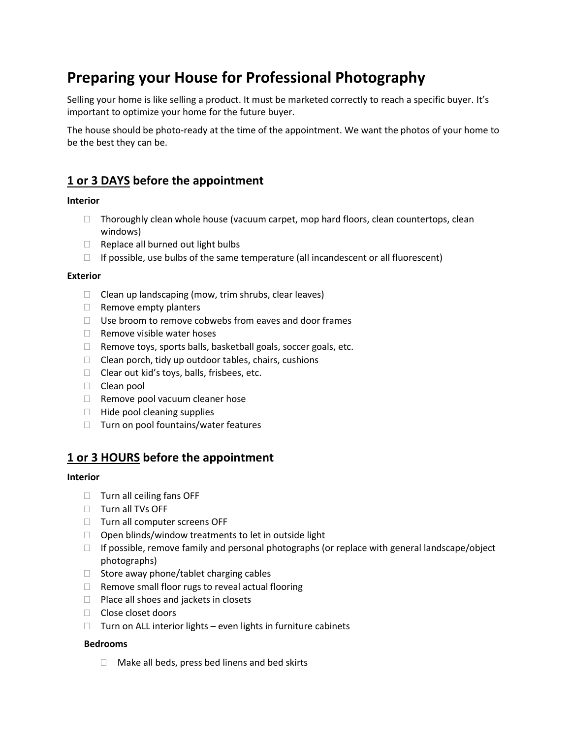# **Preparing your House for Professional Photography**

Selling your home is like selling a product. It must be marketed correctly to reach a specific buyer. It's important to optimize your home for the future buyer.

The house should be photo-ready at the time of the appointment. We want the photos of your home to be the best they can be.

# **1 or 3 DAYS before the appointment**

# **Interior**

- $\Box$  Thoroughly clean whole house (vacuum carpet, mop hard floors, clean countertops, clean windows)
- $\Box$  Replace all burned out light bulbs
- $\Box$  If possible, use bulbs of the same temperature (all incandescent or all fluorescent)

## **Exterior**

- $\Box$  Clean up landscaping (mow, trim shrubs, clear leaves)
- $\Box$  Remove empty planters
- $\Box$  Use broom to remove cobwebs from eaves and door frames
- $\Box$  Remove visible water hoses
- $\Box$  Remove toys, sports balls, basketball goals, soccer goals, etc.
- $\Box$  Clean porch, tidy up outdoor tables, chairs, cushions
- $\Box$  Clear out kid's toys, balls, frisbees, etc.
- $\Box$  Clean pool
- $\Box$  Remove pool vacuum cleaner hose
- $\Box$  Hide pool cleaning supplies
- $\Box$  Turn on pool fountains/water features

# **1 or 3 HOURS before the appointment**

## **Interior**

- $\Box$  Turn all ceiling fans OFF
- $\Box$  Turn all TVs OFF
- □ Turn all computer screens OFF
- $\Box$  Open blinds/window treatments to let in outside light
- $\Box$  If possible, remove family and personal photographs (or replace with general landscape/object photographs)
- $\Box$  Store away phone/tablet charging cables
- $\Box$  Remove small floor rugs to reveal actual flooring
- $\Box$  Place all shoes and jackets in closets
- $\Box$  Close closet doors
- $\Box$  Turn on ALL interior lights even lights in furniture cabinets

## **Bedrooms**

 $\Box$  Make all beds, press bed linens and bed skirts